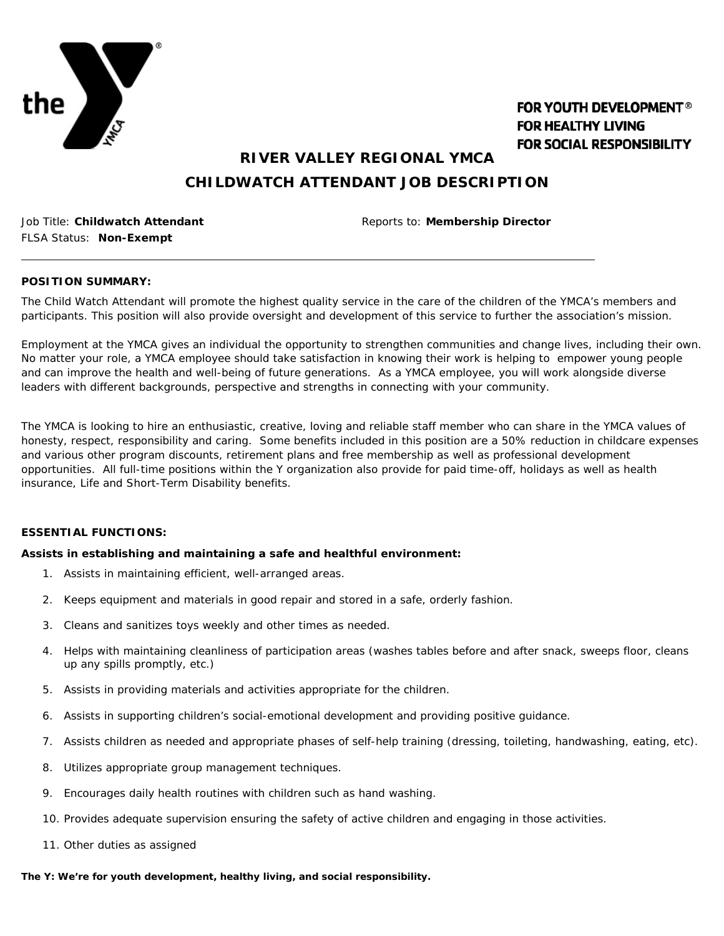

# **FOR YOUTH DEVELOPMENT® FOR HEALTHY LIVING FOR SOCIAL RESPONSIBILITY**

**RIVER VALLEY REGIONAL YMCA**

# **CHILDWATCH ATTENDANT JOB DESCRIPTION**

FLSA Status: **Non-Exempt**

Job Title: **Childwatch Attendant** Reports to: **Membership Director**

### **POSITION SUMMARY:**

The Child Watch Attendant will promote the highest quality service in the care of the children of the YMCA's members and participants. This position will also provide oversight and development of this service to further the association's mission.

Employment at the YMCA gives an individual the opportunity to strengthen communities and change lives, including their own. No matter your role, a YMCA employee should take satisfaction in knowing their work is helping to empower young people and can improve the health and well-being of future generations. As a YMCA employee, you will work alongside diverse leaders with different backgrounds, perspective and strengths in connecting with your community.

The YMCA is looking to hire an enthusiastic, creative, loving and reliable staff member who can share in the YMCA values of honesty, respect, responsibility and caring. Some benefits included in this position are a 50% reduction in childcare expenses and various other program discounts, retirement plans and free membership as well as professional development opportunities. All full-time positions within the Y organization also provide for paid time-off, holidays as well as health insurance, Life and Short-Term Disability benefits.

### **ESSENTIAL FUNCTIONS:**

## *Assists in establishing and maintaining a safe and healthful environment:*

- 1. Assists in maintaining efficient, well-arranged areas.
- 2. Keeps equipment and materials in good repair and stored in a safe, orderly fashion.
- 3. Cleans and sanitizes toys weekly and other times as needed.
- 4. Helps with maintaining cleanliness of participation areas (washes tables before and after snack, sweeps floor, cleans up any spills promptly, etc.)
- 5. Assists in providing materials and activities appropriate for the children.
- 6. Assists in supporting children's social-emotional development and providing positive guidance.
- 7. Assists children as needed and appropriate phases of self-help training (dressing, toileting, handwashing, eating, etc).
- 8. Utilizes appropriate group management techniques.
- 9. Encourages daily health routines with children such as hand washing.
- 10. Provides adequate supervision ensuring the safety of active children and engaging in those activities.
- 11. Other duties as assigned

## **The Y: We're for youth development, healthy living, and social responsibility.**